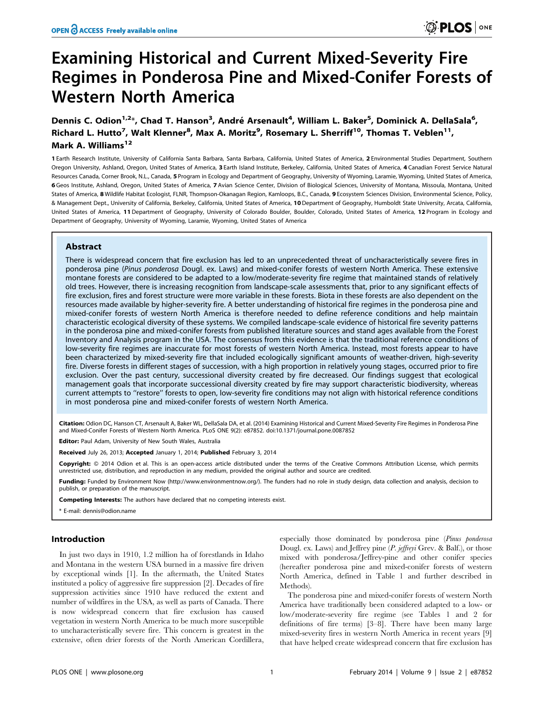# Examining Historical and Current Mixed-Severity Fire Regimes in Ponderosa Pine and Mixed-Conifer Forests of Western North America

Dennis C. Odion<sup>1,2</sup>\*, Chad T. Hanson<sup>3</sup>, André Arsenault<sup>4</sup>, William L. Baker<sup>5</sup>, Dominick A. DellaSala<sup>6</sup>, Richard L. Hutto<sup>7</sup>, Walt Klenner<sup>8</sup>, Max A. Moritz<sup>9</sup>, Rosemary L. Sherriff<sup>10</sup>, Thomas T. Veblen<sup>11</sup>, Mark A. Williams<sup>12</sup>

1 Earth Research Institute, University of California Santa Barbara, Santa Barbara, California, United States of America, 2 Environmental Studies Department, Southern Oregon University, Ashland, Oregon, United States of America, 3 Earth Island Institute, Berkeley, California, United States of America, 4 Canadian Forest Service Natural Resources Canada, Corner Brook, N.L., Canada, 5 Program in Ecology and Department of Geography, University of Wyoming, Laramie, Wyoming, United States of America, 6 Geos Institute, Ashland, Oregon, United States of America, 7 Avian Science Center, Division of Biological Sciences, University of Montana, Missoula, Montana, United States of America, 8 Wildlife Habitat Ecologist, FLNR, Thompson-Okanagan Region, Kamloops, B.C., Canada, 9 Ecosystem Sciences Division, Environmental Science, Policy, & Management Dept., University of California, Berkeley, California, United States of America, 10 Department of Geography, Humboldt State University, Arcata, California, United States of America, 11 Department of Geography, University of Colorado Boulder, Boulder, Colorado, United States of America, 12 Program in Ecology and Department of Geography, University of Wyoming, Laramie, Wyoming, United States of America

# Abstract

There is widespread concern that fire exclusion has led to an unprecedented threat of uncharacteristically severe fires in ponderosa pine (Pinus ponderosa Dougl. ex. Laws) and mixed-conifer forests of western North America. These extensive montane forests are considered to be adapted to a low/moderate-severity fire regime that maintained stands of relatively old trees. However, there is increasing recognition from landscape-scale assessments that, prior to any significant effects of fire exclusion, fires and forest structure were more variable in these forests. Biota in these forests are also dependent on the resources made available by higher-severity fire. A better understanding of historical fire regimes in the ponderosa pine and mixed-conifer forests of western North America is therefore needed to define reference conditions and help maintain characteristic ecological diversity of these systems. We compiled landscape-scale evidence of historical fire severity patterns in the ponderosa pine and mixed-conifer forests from published literature sources and stand ages available from the Forest Inventory and Analysis program in the USA. The consensus from this evidence is that the traditional reference conditions of low-severity fire regimes are inaccurate for most forests of western North America. Instead, most forests appear to have been characterized by mixed-severity fire that included ecologically significant amounts of weather-driven, high-severity fire. Diverse forests in different stages of succession, with a high proportion in relatively young stages, occurred prior to fire exclusion. Over the past century, successional diversity created by fire decreased. Our findings suggest that ecological management goals that incorporate successional diversity created by fire may support characteristic biodiversity, whereas current attempts to ''restore'' forests to open, low-severity fire conditions may not align with historical reference conditions in most ponderosa pine and mixed-conifer forests of western North America.

Citation: Odion DC, Hanson CT, Arsenault A, Baker WL, DellaSala DA, et al. (2014) Examining Historical and Current Mixed-Severity Fire Regimes in Ponderosa Pine and Mixed-Conifer Forests of Western North America. PLoS ONE 9(2): e87852. doi:10.1371/journal.pone.0087852

Editor: Paul Adam, University of New South Wales, Australia

Received July 26, 2013; Accepted January 1, 2014; Published February 3, 2014

Copyright: © 2014 Odion et al. This is an open-access article distributed under the terms of the Creative Commons Attribution License, which permits unrestricted use, distribution, and reproduction in any medium, provided the original author and source are credited.

Funding: Funded by Environment Now (http://www.environmentnow.org/). The funders had no role in study design, data collection and analysis, decision to publish, or preparation of the manuscript.

Competing Interests: The authors have declared that no competing interests exist.

\* E-mail: dennis@odion.name

#### Introduction

In just two days in 1910, 1.2 million ha of forestlands in Idaho and Montana in the western USA burned in a massive fire driven by exceptional winds [1]. In the aftermath, the United States instituted a policy of aggressive fire suppression [2]. Decades of fire suppression activities since 1910 have reduced the extent and number of wildfires in the USA, as well as parts of Canada. There is now widespread concern that fire exclusion has caused vegetation in western North America to be much more susceptible to uncharacteristically severe fire. This concern is greatest in the extensive, often drier forests of the North American Cordillera,

especially those dominated by ponderosa pine (Pinus ponderosa Dougl. ex. Laws) and Jeffrey pine (P. jeffreyi Grev. & Balf.), or those mixed with ponderosa/Jeffrey-pine and other conifer species (hereafter ponderosa pine and mixed-conifer forests of western North America, defined in Table 1 and further described in Methods).

The ponderosa pine and mixed-conifer forests of western North America have traditionally been considered adapted to a low- or low/moderate-severity fire regime (see Tables 1 and 2 for definitions of fire terms) [3–8]. There have been many large mixed-severity fires in western North America in recent years [9] that have helped create widespread concern that fire exclusion has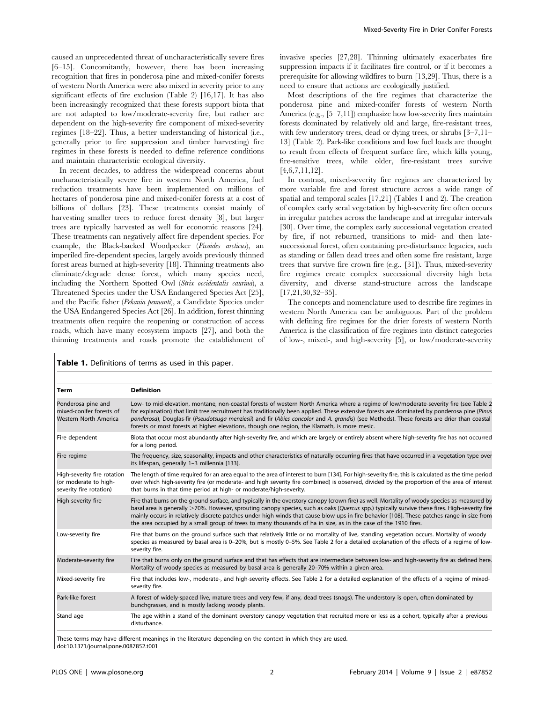caused an unprecedented threat of uncharacteristically severe fires [6–15]. Concomitantly, however, there has been increasing recognition that fires in ponderosa pine and mixed-conifer forests of western North America were also mixed in severity prior to any significant effects of fire exclusion (Table 2) [16,17]. It has also been increasingly recognized that these forests support biota that are not adapted to low/moderate-severity fire, but rather are dependent on the high-severity fire component of mixed-severity regimes [18–22]. Thus, a better understanding of historical (i.e., generally prior to fire suppression and timber harvesting) fire regimes in these forests is needed to define reference conditions and maintain characteristic ecological diversity.

In recent decades, to address the widespread concerns about uncharacteristically severe fire in western North America, fuel reduction treatments have been implemented on millions of hectares of ponderosa pine and mixed-conifer forests at a cost of billions of dollars [23]. These treatments consist mainly of harvesting smaller trees to reduce forest density [8], but larger trees are typically harvested as well for economic reasons [24]. These treatments can negatively affect fire dependent species. For example, the Black-backed Woodpecker (Picoides arcticus), an imperiled fire-dependent species, largely avoids previously thinned forest areas burned at high-severity [18]. Thinning treatments also eliminate/degrade dense forest, which many species need, including the Northern Spotted Owl (Strix occidentalis caurina), a Threatened Species under the USA Endangered Species Act [25], and the Pacific fisher (Pekania pennanti), a Candidate Species under the USA Endangered Species Act [26]. In addition, forest thinning treatments often require the reopening or construction of access roads, which have many ecosystem impacts [27], and both the thinning treatments and roads promote the establishment of invasive species [27,28]. Thinning ultimately exacerbates fire suppression impacts if it facilitates fire control, or if it becomes a prerequisite for allowing wildfires to burn [13,29]. Thus, there is a need to ensure that actions are ecologically justified.

Most descriptions of the fire regimes that characterize the ponderosa pine and mixed-conifer forests of western North America (e.g., [5–7,11]) emphasize how low-severity fires maintain forests dominated by relatively old and large, fire-resistant trees, with few understory trees, dead or dying trees, or shrubs [3–7,11– 13] (Table 2). Park-like conditions and low fuel loads are thought to result from effects of frequent surface fire, which kills young, fire-sensitive trees, while older, fire-resistant trees survive [4,6,7,11,12].

In contrast, mixed-severity fire regimes are characterized by more variable fire and forest structure across a wide range of spatial and temporal scales [17,21] (Tables 1 and 2). The creation of complex early seral vegetation by high-severity fire often occurs in irregular patches across the landscape and at irregular intervals [30]. Over time, the complex early successional vegetation created by fire, if not reburned, transitions to mid- and then latesuccessional forest, often containing pre-disturbance legacies, such as standing or fallen dead trees and often some fire resistant, large trees that survive fire crown fire (e.g., [31]). Thus, mixed-severity fire regimes create complex successional diversity high beta diversity, and diverse stand-structure across the landscape [17,21,30,32–35].

The concepts and nomenclature used to describe fire regimes in western North America can be ambiguous. Part of the problem with defining fire regimes for the drier forests of western North America is the classification of fire regimes into distinct categories of low-, mixed-, and high-severity [5], or low/moderate-severity

Table 1. Definitions of terms as used in this paper.

| <b>Term</b>                                                                     | <b>Definition</b>                                                                                                                                                                                                                                                                                                                                                                                                                                                                                                                                              |
|---------------------------------------------------------------------------------|----------------------------------------------------------------------------------------------------------------------------------------------------------------------------------------------------------------------------------------------------------------------------------------------------------------------------------------------------------------------------------------------------------------------------------------------------------------------------------------------------------------------------------------------------------------|
| Ponderosa pine and<br>mixed-conifer forests of<br><b>Western North America</b>  | Low- to mid-elevation, montane, non-coastal forests of western North America where a regime of low/moderate-severity fire (see Table 2<br>for explanation) that limit tree recruitment has traditionally been applied. These extensive forests are dominated by ponderosa pine (Pinus<br>ponderosa), Douglas-fir (Pseudotsuga menziesii) and fir (Abies concolor and A. grandis) (see Methods). These forests are drier than coastal<br>forests or most forests at higher elevations, though one region, the Klamath, is more mesic.                           |
| Fire dependent                                                                  | Biota that occur most abundantly after high-severity fire, and which are largely or entirely absent where high-severity fire has not occurred<br>for a long period.                                                                                                                                                                                                                                                                                                                                                                                            |
| Fire regime                                                                     | The frequency, size, seasonality, impacts and other characteristics of naturally occurring fires that have occurred in a vegetation type over<br>its lifespan, generally 1-3 millennia [133].                                                                                                                                                                                                                                                                                                                                                                  |
| High-severity fire rotation<br>(or moderate to high-<br>severity fire rotation) | The length of time required for an area equal to the area of interest to burn [134]. For high-severity fire, this is calculated as the time period<br>over which high-severity fire (or moderate- and high severity fire combined) is observed, divided by the proportion of the area of interest<br>that burns in that time period at high- or moderate/high-severity.                                                                                                                                                                                        |
| High-severity fire                                                              | Fire that burns on the ground surface, and typically in the overstory canopy (crown fire) as well. Mortality of woody species as measured by<br>basal area is generally >70%. However, sprouting canopy species, such as oaks (Quercus spp.) typically survive these fires. High-severity fire<br>mainly occurs in relatively discrete patches under high winds that cause blow ups in fire behavior [108]. These patches range in size from<br>the area occupied by a small group of trees to many thousands of ha in size, as in the case of the 1910 fires. |
| Low-severity fire                                                               | Fire that burns on the ground surface such that relatively little or no mortality of live, standing vegetation occurs. Mortality of woody<br>species as measured by basal area is 0-20%, but is mostly 0-5%. See Table 2 for a detailed explanation of the effects of a regime of low-<br>severity fire.                                                                                                                                                                                                                                                       |
| Moderate-severity fire                                                          | Fire that burns only on the ground surface and that has effects that are intermediate between low- and high-severity fire as defined here.<br>Mortality of woody species as measured by basal area is generally 20-70% within a given area.                                                                                                                                                                                                                                                                                                                    |
| Mixed-severity fire                                                             | Fire that includes low-, moderate-, and high-severity effects. See Table 2 for a detailed explanation of the effects of a regime of mixed-<br>severity fire.                                                                                                                                                                                                                                                                                                                                                                                                   |
| Park-like forest                                                                | A forest of widely-spaced live, mature trees and very few, if any, dead trees (snags). The understory is open, often dominated by<br>bunchgrasses, and is mostly lacking woody plants.                                                                                                                                                                                                                                                                                                                                                                         |
| Stand age                                                                       | The age within a stand of the dominant overstory canopy vegetation that recruited more or less as a cohort, typically after a previous<br>disturbance.                                                                                                                                                                                                                                                                                                                                                                                                         |

These terms may have different meanings in the literature depending on the context in which they are used. doi:10.1371/journal.pone.0087852.t001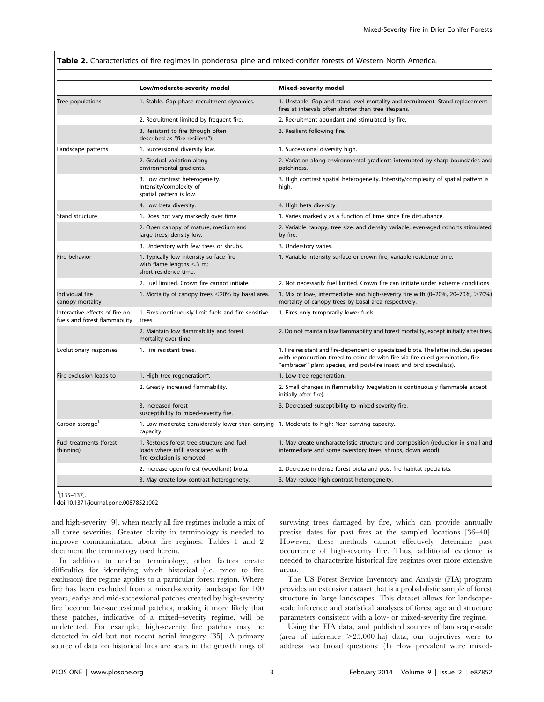Table 2. Characteristics of fire regimes in ponderosa pine and mixed-conifer forests of Western North America.

|                                                                 | Low/moderate-severity model                                                                                    | Mixed-severity model                                                                                                                                                                                                                             |
|-----------------------------------------------------------------|----------------------------------------------------------------------------------------------------------------|--------------------------------------------------------------------------------------------------------------------------------------------------------------------------------------------------------------------------------------------------|
| Tree populations                                                | 1. Stable. Gap phase recruitment dynamics.                                                                     | 1. Unstable. Gap and stand-level mortality and recruitment. Stand-replacement<br>fires at intervals often shorter than tree lifespans.                                                                                                           |
|                                                                 | 2. Recruitment limited by frequent fire.                                                                       | 2. Recruitment abundant and stimulated by fire.                                                                                                                                                                                                  |
|                                                                 | 3. Resistant to fire (though often<br>described as "fire-resilient").                                          | 3. Resilient following fire.                                                                                                                                                                                                                     |
| Landscape patterns                                              | 1. Successional diversity low.                                                                                 | 1. Successional diversity high.                                                                                                                                                                                                                  |
|                                                                 | 2. Gradual variation along<br>environmental gradients.                                                         | 2. Variation along environmental gradients interrupted by sharp boundaries and<br>patchiness.                                                                                                                                                    |
|                                                                 | 3. Low contrast heterogeneity.<br>Intensity/complexity of<br>spatial pattern is low.                           | 3. High contrast spatial heterogeneity. Intensity/complexity of spatial pattern is<br>high.                                                                                                                                                      |
|                                                                 | 4. Low beta diversity.                                                                                         | 4. High beta diversity.                                                                                                                                                                                                                          |
| Stand structure                                                 | 1. Does not vary markedly over time.                                                                           | 1. Varies markedly as a function of time since fire disturbance.                                                                                                                                                                                 |
|                                                                 | 2. Open canopy of mature, medium and<br>large trees; density low.                                              | 2. Variable canopy, tree size, and density variable; even-aged cohorts stimulated<br>by fire.                                                                                                                                                    |
|                                                                 | 3. Understory with few trees or shrubs.                                                                        | 3. Understory varies.                                                                                                                                                                                                                            |
| Fire behavior                                                   | 1. Typically low intensity surface fire<br>with flame lengths $<$ 3 m;<br>short residence time.                | 1. Variable intensity surface or crown fire, variable residence time.                                                                                                                                                                            |
|                                                                 | 2. Fuel limited. Crown fire cannot initiate.                                                                   | 2. Not necessarily fuel limited. Crown fire can initiate under extreme conditions.                                                                                                                                                               |
| Individual fire<br>canopy mortality                             | 1. Mortality of canopy trees <20% by basal area.                                                               | 1. Mix of low-, intermediate- and high-severity fire with (0-20%, 20-70%, >70%)<br>mortality of canopy trees by basal area respectively.                                                                                                         |
| Interactive effects of fire on<br>fuels and forest flammability | 1. Fires continuously limit fuels and fire sensitive<br>trees.                                                 | 1. Fires only temporarily lower fuels.                                                                                                                                                                                                           |
|                                                                 | 2. Maintain low flammability and forest<br>mortality over time.                                                | 2. Do not maintain low flammability and forest mortality, except initially after fires.                                                                                                                                                          |
| Evolutionary responses                                          | 1. Fire resistant trees.                                                                                       | 1. Fire resistant and fire-dependent or specialized biota. The latter includes species<br>with reproduction timed to coincide with fire via fire-cued germination, fire<br>"embracer" plant species, and post-fire insect and bird specialists). |
| Fire exclusion leads to                                         | 1. High tree regeneration*.                                                                                    | 1. Low tree regeneration.                                                                                                                                                                                                                        |
|                                                                 | 2. Greatly increased flammability.                                                                             | 2. Small changes in flammability (vegetation is continuously flammable except<br>initially after fire).                                                                                                                                          |
|                                                                 | 3. Increased forest<br>susceptibility to mixed-severity fire.                                                  | 3. Decreased susceptibility to mixed-severity fire.                                                                                                                                                                                              |
| Carbon storage <sup>1</sup>                                     | 1. Low-moderate; considerably lower than carrying 1. Moderate to high; Near carrying capacity.<br>capacity.    |                                                                                                                                                                                                                                                  |
| Fuel treatments (forest<br>thinning)                            | 1. Restores forest tree structure and fuel<br>loads where infill associated with<br>fire exclusion is removed. | 1. May create uncharacteristic structure and composition (reduction in small and<br>intermediate and some overstory trees, shrubs, down wood).                                                                                                   |
|                                                                 | 2. Increase open forest (woodland) biota.                                                                      | 2. Decrease in dense forest biota and post-fire habitat specialists.                                                                                                                                                                             |
|                                                                 | 3. May create low contrast heterogeneity.                                                                      | 3. May reduce high-contrast heterogeneity.                                                                                                                                                                                                       |

1 [135–137].

doi:10.1371/journal.pone.0087852.t002

and high-severity [9], when nearly all fire regimes include a mix of all three severities. Greater clarity in terminology is needed to improve communication about fire regimes. Tables 1 and 2 document the terminology used herein.

In addition to unclear terminology, other factors create difficulties for identifying which historical (i.e. prior to fire exclusion) fire regime applies to a particular forest region. Where fire has been excluded from a mixed-severity landscape for 100 years, early- and mid-successional patches created by high-severity fire become late-successional patches, making it more likely that these patches, indicative of a mixed–severity regime, will be undetected. For example, high-severity fire patches may be detected in old but not recent aerial imagery [35]. A primary source of data on historical fires are scars in the growth rings of surviving trees damaged by fire, which can provide annually precise dates for past fires at the sampled locations [36–40]. However, these methods cannot effectively determine past occurrence of high-severity fire. Thus, additional evidence is needed to characterize historical fire regimes over more extensive areas.

The US Forest Service Inventory and Analysis (FIA) program provides an extensive dataset that is a probabilistic sample of forest structure in large landscapes. This dataset allows for landscapescale inference and statistical analyses of forest age and structure parameters consistent with a low- or mixed-severity fire regime.

Using the FIA data, and published sources of landscape-scale (area of inference  $>25,000$  ha) data, our objectives were to address two broad questions: (1) How prevalent were mixed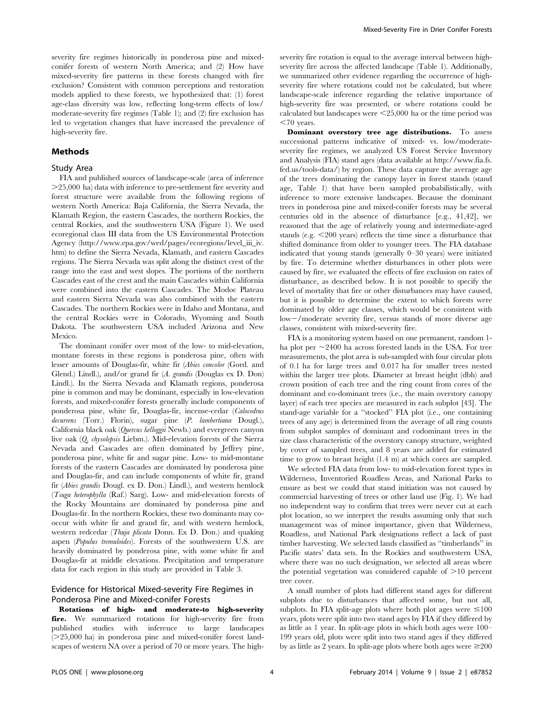severity fire regimes historically in ponderosa pine and mixedconifer forests of western North America; and (2) How have mixed-severity fire patterns in these forests changed with fire exclusion? Consistent with common perceptions and restoration models applied to these forests, we hypothesized that: (1) forest age-class diversity was low, reflecting long-term effects of low/ moderate-severity fire regimes (Table 1); and (2) fire exclusion has led to vegetation changes that have increased the prevalence of high-severity fire.

#### Methods

## Study Area

FIA and published sources of landscape-scale (area of inference  $>$ 25,000 ha) data with inference to pre-settlement fire severity and forest structure were available from the following regions of western North America: Baja California, the Sierra Nevada, the Klamath Region, the eastern Cascades, the northern Rockies, the central Rockies, and the southwestern USA (Figure 1). We used ecoregional class III data from the US Environmental Protection Agency (http://www.epa.gov/wed/pages/ecoregions/level\_iii\_iv. htm) to define the Sierra Nevada, Klamath, and eastern Cascades regions. The Sierra Nevada was split along the distinct crest of the range into the east and west slopes. The portions of the northern Cascades east of the crest and the main Cascades within California were combined into the eastern Cascades. The Modoc Plateau and eastern Sierra Nevada was also combined with the eastern Cascades. The northern Rockies were in Idaho and Montana, and the central Rockies were in Colorado, Wyoming and South Dakota. The southwestern USA included Arizona and New Mexico.

The dominant conifer over most of the low- to mid-elevation, montane forests in these regions is ponderosa pine, often with lesser amounts of Douglas-fir, white fir (Abies concolor (Gord. and Glend.) Lindl.), and/or grand fir (A. grandis (Douglas ex D. Don) Lindl.). In the Sierra Nevada and Klamath regions, ponderosa pine is common and may be dominant, especially in low-elevation forests, and mixed-conifer forests generally include components of ponderosa pine, white fir, Douglas-fir, incense-cedar (Calocedrus decurrens (Torr.) Florin), sugar pine (P. lambertiana Dougl.), California black oak (Quercus kelloggii Newb.) and evergreen canyon live oak (Q. chysolepsis Liebm.). Mid-elevation forests of the Sierra Nevada and Cascades are often dominated by Jeffrey pine, ponderosa pine, white fir and sugar pine. Low- to mid-montane forests of the eastern Cascades are dominated by ponderosa pine and Douglas-fir, and can include components of white fir, grand fir (Abies grandis Dougl. ex D. Don.) Lindl.), and western hemlock (Tsuga heterophylla (Raf.) Sarg). Low- and mid-elevation forests of the Rocky Mountains are dominated by ponderosa pine and Douglas-fir. In the northern Rockies, these two dominants may cooccur with white fir and grand fir, and with western hemlock, western redcedar (Thuja plicata Donn. Ex D. Don.) and quaking aspen (Populus tremuloides). Forests of the southwestern U.S. are heavily dominated by ponderosa pine, with some white fir and Douglas-fir at middle elevations. Precipitation and temperature data for each region in this study are provided in Table 3.

# Evidence for Historical Mixed-severity Fire Regimes in Ponderosa Pine and Mixed-conifer Forests

Rotations of high- and moderate-to high-severity fire. We summarized rotations for high-severity fire from published studies with inference to large landscapes  $(>=25,000$  ha) in ponderosa pine and mixed-conifer forest landscapes of western NA over a period of 70 or more years. The highseverity fire rotation is equal to the average interval between highseverity fire across the affected landscape (Table 1). Additionally, we summarized other evidence regarding the occurrence of highseverity fire where rotations could not be calculated, but where landscape-scale inference regarding the relative importance of high-severity fire was presented, or where rotations could be calculated but landscapes were  $\leq$ 25,000 ha or the time period was  $<$ 70 years.

Dominant overstory tree age distributions. To assess successional patterns indicative of mixed- vs. low/moderateseverity fire regimes, we analyzed US Forest Service Inventory and Analysis (FIA) stand ages (data available at [http://www.fia.fs.](http://www.fia.fs.fed.us/tools-data/) [fed.us/tools-data/\)](http://www.fia.fs.fed.us/tools-data/) by region. These data capture the average age of the trees dominating the canopy layer in forest stands (stand age, Table 1) that have been sampled probabilistically, with inference to more extensive landscapes. Because the dominant trees in ponderosa pine and mixed-conifer forests may be several centuries old in the absence of disturbance [e.g., 41,42], we reasoned that the age of relatively young and intermediate-aged stands (e.g.  $\leq$ 200 years) reflects the time since a disturbance that shifted dominance from older to younger trees. The FIA database indicated that young stands (generally 0–30 years) were initiated by fire. To determine whether disturbances in other plots were caused by fire, we evaluated the effects of fire exclusion on rates of disturbance, as described below. It is not possible to specify the level of mortality that fire or other disturbances may have caused, but it is possible to determine the extent to which forests were dominated by older age classes, which would be consistent with low-/moderate severity fire, versus stands of more diverse age classes, consistent with mixed-severity fire.

FIA is a monitoring system based on one permanent, random 1 ha plot per  $\sim$ 2400 ha across forested lands in the USA. For tree measurements, the plot area is sub-sampled with four circular plots of 0.1 ha for large trees and 0.017 ha for smaller trees nested within the larger tree plots. Diameter at breast height (dbh) and crown position of each tree and the ring count from cores of the dominant and co-dominant trees (i.e., the main overstory canopy layer) of each tree species are measured in each subplot [43]. The stand-age variable for a ''stocked'' FIA plot (i.e., one containing trees of any age) is determined from the average of all ring counts from subplot samples of dominant and codominant trees in the size class characteristic of the overstory canopy structure, weighted by cover of sampled trees, and 8 years are added for estimated time to grow to breast height (1.4 m) at which cores are sampled.

We selected FIA data from low- to mid-elevation forest types in Wilderness, Inventoried Roadless Areas, and National Parks to ensure as best we could that stand initiation was not caused by commercial harvesting of trees or other land use (Fig. 1). We had no independent way to confirm that trees were never cut at each plot location, so we interpret the results assuming only that such management was of minor importance, given that Wilderness, Roadless, and National Park designations reflect a lack of past timber harvesting. We selected lands classified as ''timberlands'' in Pacific states' data sets. In the Rockies and southwestern USA, where there was no such designation, we selected all areas where the potential vegetation was considered capable of  $>10$  percent tree cover.

A small number of plots had different stand ages for different subplots due to disturbances that affected some, but not all, subplots. In FIA split-age plots where both plot ages were  $\leq 100$ years, plots were split into two stand ages by FIA if they differed by as little as 1 year. In split-age plots in which both ages were 100– 199 years old, plots were split into two stand ages if they differed by as little as 2 years. In split-age plots where both ages were  $\geq 200$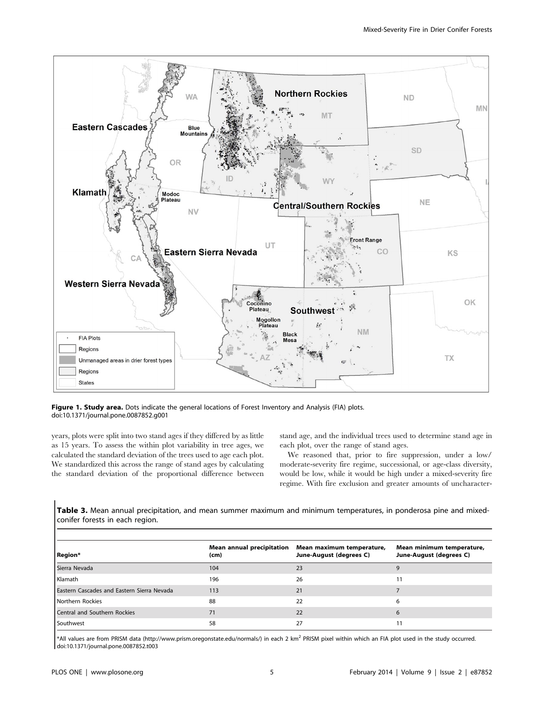

Figure 1. Study area. Dots indicate the general locations of Forest Inventory and Analysis (FIA) plots. doi:10.1371/journal.pone.0087852.g001

years, plots were split into two stand ages if they differed by as little as 15 years. To assess the within plot variability in tree ages, we calculated the standard deviation of the trees used to age each plot. We standardized this across the range of stand ages by calculating the standard deviation of the proportional difference between stand age, and the individual trees used to determine stand age in each plot, over the range of stand ages.

We reasoned that, prior to fire suppression, under a low/ moderate-severity fire regime, successional, or age-class diversity, would be low, while it would be high under a mixed-severity fire regime. With fire exclusion and greater amounts of uncharacter-

Table 3. Mean annual precipitation, and mean summer maximum and minimum temperatures, in ponderosa pine and mixedconifer forests in each region.

| <b>Region*</b>                             | <b>Mean annual precipitation</b><br>(cm) | Mean maximum temperature,<br>June-August (degrees C) | Mean minimum temperature,<br>June-August (degrees C) |
|--------------------------------------------|------------------------------------------|------------------------------------------------------|------------------------------------------------------|
| Sierra Nevada                              | 104                                      | 23                                                   |                                                      |
| Klamath                                    | 196                                      | 26                                                   |                                                      |
| Eastern Cascades and Eastern Sierra Nevada | 113                                      | 21                                                   |                                                      |
| Northern Rockies                           | 88                                       | 22                                                   | 6                                                    |
| <b>Central and Southern Rockies</b>        | 71                                       | 22                                                   | 6                                                    |
| <b>Southwest</b>                           | 58                                       | 27                                                   |                                                      |

\*All values are from PRISM data (http://www.prism.oregonstate.edu/normals/) in each 2 km<sup>2</sup> PRISM pixel within which an FIA plot used in the study occurred. doi:10.1371/journal.pone.0087852.t003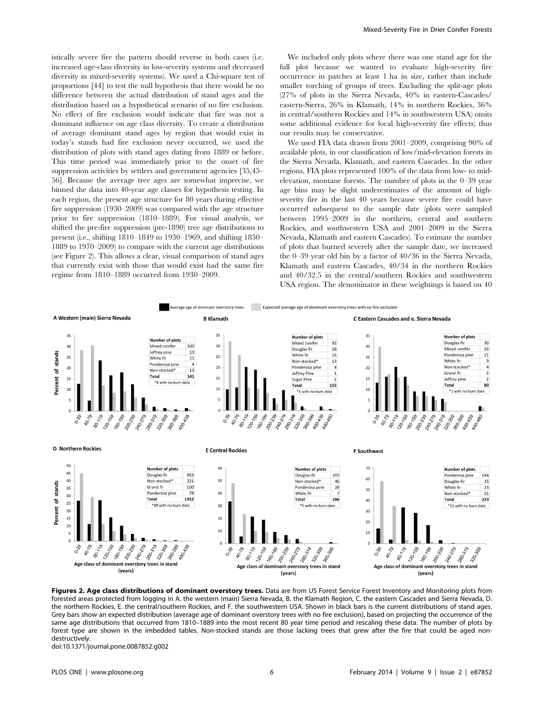istically severe fire the pattern should reverse in both cases (i.e. increased age-class diversity in low-severity systems and decreased diversity in mixed-severity systems). We used a Chi-square test of proportions [44] to test the null hypothesis that there would be no difference between the actual distribution of stand ages and the distribution based on a hypothetical scenario of no fire exclusion. No effect of fire exclusion would indicate that fire was not a dominant influence on age class diversity. To create a distribution of average dominant stand ages by region that would exist in today's stands had fire exclusion never occurred, we used the distribution of plots with stand ages dating from 1889 or before. This time period was immediately prior to the onset of fire suppression activities by settlers and government agencies [35,45– 56]. Because the average tree ages are somewhat imprecise, we binned the data into 40-year age classes for hypothesis testing. In each region, the present age structure for 80 years during effective fire suppression (1930–2009) was compared with the age structure prior to fire suppression (1810–1889). For visual analysis, we shifted the pre-fire suppression (pre-1890) tree age distributions to present (i.e., shifting 1810–1849 to 1930–1969, and shifting 1850– 1889 to 1970–2009) to compare with the current age distributions (see Figure 2). This allows a clear, visual comparison of stand ages that currently exist with those that would exist had the same fire regime from 1810–1889 occurred from 1930–2009.

We included only plots where there was one stand age for the full plot because we wanted to evaluate high-severity fire occurrence in patches at least 1 ha in size, rather than include smaller torching of groups of trees. Excluding the split-age plots (27% of plots in the Sierra Nevada, 40% in eastern-Cascades/ eastern-Sierra, 26% in Klamath, 14% in northern Rockies, 36% in central/southern Rockies and 14% in southwestern USA) omits some additional evidence for local high-severity fire effects; thus our results may be conservative.

We used FIA data drawn from 2001–2009, comprising 90% of available plots, in our classification of low/mid-elevation forests in the Sierra Nevada, Klamath, and eastern Cascades. In the other regions, FIA plots represented 100% of the data from low- to midelevation, montane forests. The number of plots in the 0–39 year age bins may be slight underestimates of the amount of highseverity fire in the last 40 years because severe fire could have occurred subsequent to the sample date (plots were sampled between 1995–2009 in the northern, central and southern Rockies, and southwestern USA and 2001–2009 in the Sierra Nevada, Klamath and eastern Cascades). To estimate the number of plots that burned severely after the sample date, we increased the 0–39 year old bin by a factor of 40/36 in the Sierra Nevada, Klamath and eastern Cascades, 40/34 in the northern Rockies and 40/32.5 in the central/southern Rockies and southwestern USA region. The denominator in these weightings is based on 40



Figures 2. Age class distributions of dominant overstory trees. Data are from US Forest Service Forest Inventory and Monitoring plots from forested areas protected from logging in A. the western (main) Sierra Nevada, B. the Klamath Region, C. the eastern Cascades and Sierra Nevada, D. the northern Rockies, E. the central/southern Rockies, and F. the southwestern USA. Shown in black bars is the current distributions of stand ages. Grey bars show an expected distribution (average age of dominant overstory trees with no fire exclusion), based on projecting the occurrence of the same age distributions that occurred from 1810–1889 into the most recent 80 year time period and rescaling these data. The number of plots by forest type are shown in the imbedded tables. Non-stocked stands are those lacking trees that grew after the fire that could be aged nondestructively.

doi:10.1371/journal.pone.0087852.g002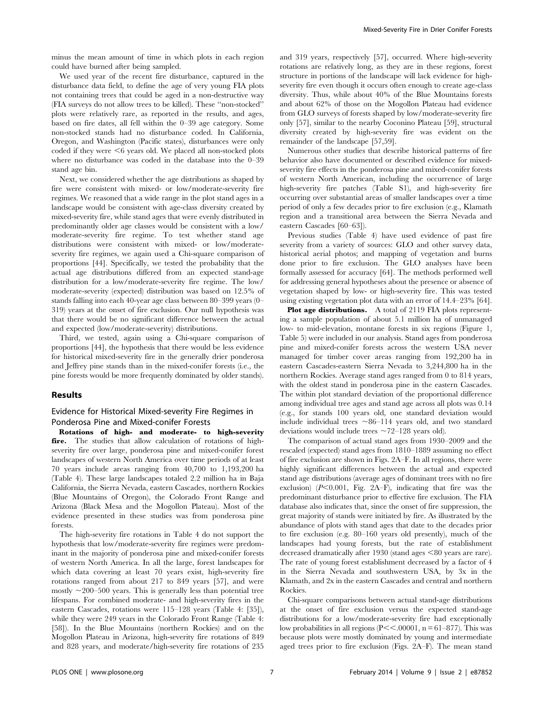minus the mean amount of time in which plots in each region could have burned after being sampled.

We used year of the recent fire disturbance, captured in the disturbance data field, to define the age of very young FIA plots not containing trees that could be aged in a non-destructive way (FIA surveys do not allow trees to be killed). These ''non-stocked'' plots were relatively rare, as reported in the results, and ages, based on fire dates, all fell within the 0–39 age category. Some non-stocked stands had no disturbance coded. In California, Oregon, and Washington (Pacific states), disturbances were only coded if they were  $\leq 6$  years old. We placed all non-stocked plots where no disturbance was coded in the database into the 0–39 stand age bin.

Next, we considered whether the age distributions as shaped by fire were consistent with mixed- or low/moderate-severity fire regimes. We reasoned that a wide range in the plot stand ages in a landscape would be consistent with age-class diversity created by mixed-severity fire, while stand ages that were evenly distributed in predominantly older age classes would be consistent with a low/ moderate-severity fire regime. To test whether stand age distributions were consistent with mixed- or low/moderateseverity fire regimes, we again used a Chi-square comparison of proportions [44]. Specifically, we tested the probability that the actual age distributions differed from an expected stand-age distribution for a low/moderate-severity fire regime. The low/ moderate-severity (expected) distribution was based on 12.5% of stands falling into each 40-year age class between 80–399 years (0– 319) years at the onset of fire exclusion. Our null hypothesis was that there would be no significant difference between the actual and expected (low/moderate-severity) distributions.

Third, we tested, again using a Chi-square comparison of proportions [44], the hypothesis that there would be less evidence for historical mixed-severity fire in the generally drier ponderosa and Jeffrey pine stands than in the mixed-conifer forests (i.e., the pine forests would be more frequently dominated by older stands).

#### Results

# Evidence for Historical Mixed-severity Fire Regimes in Ponderosa Pine and Mixed-conifer Forests

Rotations of high- and moderate- to high-severity fire. The studies that allow calculation of rotations of highseverity fire over large, ponderosa pine and mixed-conifer forest landscapes of western North America over time periods of at least 70 years include areas ranging from 40,700 to 1,193,200 ha (Table 4). These large landscapes totaled 2.2 million ha in Baja California, the Sierra Nevada, eastern Cascades, northern Rockies (Blue Mountains of Oregon), the Colorado Front Range and Arizona (Black Mesa and the Mogollon Plateau). Most of the evidence presented in these studies was from ponderosa pine forests.

The high-severity fire rotations in Table 4 do not support the hypothesis that low/moderate-severity fire regimes were predominant in the majority of ponderosa pine and mixed-conifer forests of western North America. In all the large, forest landscapes for which data covering at least 70 years exist, high-severity fire rotations ranged from about 217 to 849 years [57], and were mostly  $\sim$ 200–500 years. This is generally less than potential tree lifespans. For combined moderate- and high-severity fires in the eastern Cascades, rotations were 115–128 years (Table 4: [35]), while they were 249 years in the Colorado Front Range (Table 4: [58]). In the Blue Mountains (northern Rockies) and on the Mogollon Plateau in Arizona, high-severity fire rotations of 849 and 828 years, and moderate/high-severity fire rotations of 235

and 319 years, respectively [57], occurred. Where high-severity rotations are relatively long, as they are in these regions, forest structure in portions of the landscape will lack evidence for highseverity fire even though it occurs often enough to create age-class diversity. Thus, while about 40% of the Blue Mountains forests and about 62% of those on the Mogollon Plateau had evidence from GLO surveys of forests shaped by low/moderate-severity fire only [57], similar to the nearby Coconino Plateau [59], structural diversity created by high-severity fire was evident on the remainder of the landscape [57,59].

Numerous other studies that describe historical patterns of fire behavior also have documented or described evidence for mixedseverity fire effects in the ponderosa pine and mixed-conifer forests of western North American, including the occurrence of large high-severity fire patches (Table S1), and high-severity fire occurring over substantial areas of smaller landscapes over a time period of only a few decades prior to fire exclusion (e.g., Klamath region and a transitional area between the Sierra Nevada and eastern Cascades [60–63]).

Previous studies (Table 4) have used evidence of past fire severity from a variety of sources: GLO and other survey data, historical aerial photos; and mapping of vegetation and burns done prior to fire exclusion. The GLO analyses have been formally assessed for accuracy [64]. The methods performed well for addressing general hypotheses about the presence or absence of vegetation shaped by low- or high-severity fire. This was tested using existing vegetation plot data with an error of 14.4–23% [64].

Plot age distributions. A total of 2119 FIA plots representing a sample population of about 5.1 million ha of unmanaged low- to mid-elevation, montane forests in six regions (Figure 1, Table 5) were included in our analysis. Stand ages from ponderosa pine and mixed-conifer forests across the western USA never managed for timber cover areas ranging from 192,200 ha in eastern Cascades-eastern Sierra Nevada to 3,244,800 ha in the northern Rockies. Average stand ages ranged from 0 to 814 years, with the oldest stand in ponderosa pine in the eastern Cascades. The within plot standard deviation of the proportional difference among individual tree ages and stand age across all plots was 0.14 (e.g., for stands 100 years old, one standard deviation would include individual trees  $\sim 86-114$  years old, and two standard deviations would include trees  $\sim$ 72–128 years old).

The comparison of actual stand ages from 1930–2009 and the rescaled (expected) stand ages from 1810–1889 assuming no effect of fire exclusion are shown in Figs. 2A–F. In all regions, there were highly significant differences between the actual and expected stand age distributions (average ages of dominant trees with no fire exclusion)  $(P<0.001$ , Fig. 2A–F), indicating that fire was the predominant disturbance prior to effective fire exclusion. The FIA database also indicates that, since the onset of fire suppression, the great majority of stands were initiated by fire. As illustrated by the abundance of plots with stand ages that date to the decades prior to fire exclusion (e.g. 80–160 years old presently), much of the landscapes had young forests, but the rate of establishment decreased dramatically after 1930 (stand ages  $<80$  years are rare). The rate of young forest establishment decreased by a factor of 4 in the Sierra Nevada and southwestern USA, by 3x in the Klamath, and 2x in the eastern Cascades and central and northern Rockies.

Chi-square comparisons between actual stand-age distributions at the onset of fire exclusion versus the expected stand-age distributions for a low/moderate-severity fire had exceptionally low probabilities in all regions ( $P \ll 0.0001$ , n = 61–877). This was because plots were mostly dominated by young and intermediate aged trees prior to fire exclusion (Figs. 2A–F). The mean stand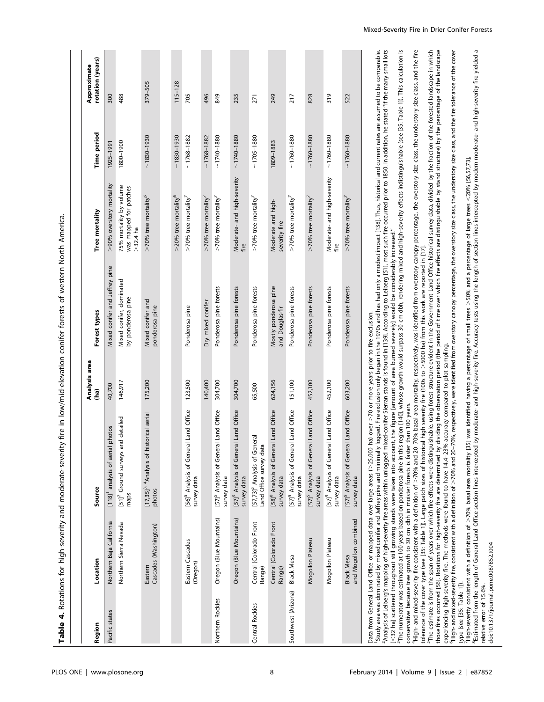Table 4. Rotations for high-severity and moderate-severity fire in low/mid-elevation conifer forests of western North America. Table 4. Rotations for high-severity and moderate-severity fire in low/mid-elevation conifer forests of western North America

| Region              | Location                                   | Source                                                                                                                                                                                                                                                                                                                                                                                                                                                                                                                                                                                                            | Analysis area<br>์ คล) | Forest types                                  | Tree mortality                                                  | Time period    | rotation (years)<br>Approximate |
|---------------------|--------------------------------------------|-------------------------------------------------------------------------------------------------------------------------------------------------------------------------------------------------------------------------------------------------------------------------------------------------------------------------------------------------------------------------------------------------------------------------------------------------------------------------------------------------------------------------------------------------------------------------------------------------------------------|------------------------|-----------------------------------------------|-----------------------------------------------------------------|----------------|---------------------------------|
| Pacific states      | Northern Baja California                   | photos<br>[118] analysis of aerial                                                                                                                                                                                                                                                                                                                                                                                                                                                                                                                                                                                | 40,700                 | Mixed conifer and Jeffrey pine                | >90% overstory mortality                                        | 1925-1991      | 300                             |
|                     | Northern Sierra Nevada                     | [51] <sup>2</sup> Ground surveys and detailed<br>maps                                                                                                                                                                                                                                                                                                                                                                                                                                                                                                                                                             | 146,917                | Mixed conifer, dominated<br>by ponderosa pine | 75% mortality by volume<br>was mapped for patches<br>$>32.4$ ha | 1800-1900      | 488                             |
|                     | Cascades (Washington)<br>Eastern           | [17,35] <sup>3, 4</sup> Analysis of historical aerial<br>photos                                                                                                                                                                                                                                                                                                                                                                                                                                                                                                                                                   | 175,200                | Mixed conifer and<br>ponderosa pine           | >70% tree mortality <sup>6</sup>                                | $~1830 - 1930$ | 379-505                         |
|                     |                                            |                                                                                                                                                                                                                                                                                                                                                                                                                                                                                                                                                                                                                   |                        |                                               |                                                                 |                |                                 |
|                     |                                            |                                                                                                                                                                                                                                                                                                                                                                                                                                                                                                                                                                                                                   |                        |                                               | >20% tree mortality <sup>6</sup>                                | $~1830 - 1930$ | $115 - 128$                     |
|                     | Eastern Cascades<br>(Oregon)               | [56] <sup>5</sup> Analysis of General Land Office<br>survey data                                                                                                                                                                                                                                                                                                                                                                                                                                                                                                                                                  | 123,500                | Ponderosa pine                                | $>$ 70% tree mortality <sup>7</sup>                             | $~1768 - 1882$ | 705                             |
|                     |                                            |                                                                                                                                                                                                                                                                                                                                                                                                                                                                                                                                                                                                                   | 140,400                | Dry mixed conifer                             | $>$ 70% tree mortality <sup>7</sup>                             | $~1768 - 1882$ | 496                             |
| Northern Rockies    | Oregon (Blue Mountains)                    | [57] <sup>5</sup> Analysis of General Land Office<br>survey data                                                                                                                                                                                                                                                                                                                                                                                                                                                                                                                                                  | 304,700                | Ponderosa pine forests                        | >70% tree mortality                                             | $~1740 - 1880$ | 849                             |
|                     | Oregon (Blue Mountains)                    | [57] <sup>5</sup> Analysis of General Land Office<br>survey data                                                                                                                                                                                                                                                                                                                                                                                                                                                                                                                                                  | 304,700                | Ponderosa pine forests                        | Moderate- and high-severity<br>fire                             | $~1740 - 1880$ | 235                             |
| Central Rockies     | Central (Colorado Front<br>Range)          | [57,73] <sup>5</sup> Analysis of General<br>Land Office survey data                                                                                                                                                                                                                                                                                                                                                                                                                                                                                                                                               | 65,500                 | Ponderosa pine forests                        | >70% tree mortality <sup>7</sup>                                | $~1705 - 1880$ | 271                             |
|                     | Central (Colorado Front<br>Range)          | [58] <sup>8</sup> Analysis of General Land Office<br>survey data                                                                                                                                                                                                                                                                                                                                                                                                                                                                                                                                                  | 624,156                | Mostly ponderosa pine<br>and Douglas-fir      | Moderate and high-<br>severity fire                             | 1809-1883      | 249                             |
| Southwest (Arizona) | <b>Black Mesa</b>                          | 57] <sup>5</sup> Analysis of General Land Office<br>survey data                                                                                                                                                                                                                                                                                                                                                                                                                                                                                                                                                   | 151,100                | Ponderosa pine forests                        | $>$ 70% tree mortality <sup>7</sup>                             | $~1760 - 1880$ | 217                             |
|                     | Mogollon Plateau                           | [57] <sup>5</sup> Analysis of General Land Office<br>survey data                                                                                                                                                                                                                                                                                                                                                                                                                                                                                                                                                  | 452,100                | Ponderosa pine forests                        | >70% tree mortality                                             | $~1760 - 1880$ | 828                             |
|                     | Mogollon Plateau                           | [57] <sup>5</sup> Analysis of General Land Office<br>survey data                                                                                                                                                                                                                                                                                                                                                                                                                                                                                                                                                  | 452,100                | Ponderosa pine forests                        | Moderate- and high-severity<br>Ê                                | $~1760 - 1880$ | 319                             |
|                     | and Mogollon combined<br><b>Black Mesa</b> | [57] <sup>5</sup> Analysis of General Land Office<br>survey data                                                                                                                                                                                                                                                                                                                                                                                                                                                                                                                                                  | 603,200                | Ponderosa pine forests                        | $>$ 70% tree mortality                                          | $~1760 - 1880$ | 522                             |
|                     |                                            | <sup>2</sup> Analysis of Leiberg's mapping of high-severity fire areas within unlogged mixed-conifer Sierran stands is found in [139]. According to Leiberg [51], most such fire occurred prior to 1850. In addition, he stated "If the<br><sup>1</sup> Study area was dominated by mixed conifer and Jeffrey pine and minimally logged. Fire exclusion only began in the 1970s and has had only a modest impact [138]. Thus, historical and current rates are assumed to be compar<br>Data from General Land Office or mapped data over large areas (>25,000 ha) over >70 or more years prior to fire exclusion. |                        |                                               |                                                                 |                |                                 |

The numerator was estimated at 100 years based on ponderosa pine in this region [140], whose growth would surpass 30 cm dbh, rendering mixed and high-severity effects indistinguishable (see [35; Table 1]). This calculation [<32 ha] scattered throughout still growing stands were taken into account, the figure [amount of area burned severely] would be considerably increased."<br>"The numerator was estimated at 100 years based on ponderosa pine in [<32 ha] scattered throughout still growing stands were taken into account, the figure [amount of area burned severely] would be considerably increased conservative because tree growth to 30 cm dbh in moister forests is faster than 100 years. conservative because tree growth to 30 cm dbh in moister forests is faster than 100 years.

<sup>4</sup>High- and mixed-severity fire consistent with a definition of  $>70\%$  and 20-70% and 20-70% and 20-70% and a basal area mortality, respectively, was identified from overstory percentage, the overstory size class, the un  $>$ 70% and 20–70% basal area mortality, respectively, was identified from overstory canopy percentage, the overstory size class, the understory size class, and the fire >5000 ha) from this work are reported in [17]. tolerance of the cover type (see [35: Table 1]). Large patch sizes of historical high severity fire (100s to >5000 ha) from this work are reported in [17] tolerance of the cover type (see [35: Table 1]). Large patch sizes of historical high severity fire (100s to 4High- and mixed-severity fire consistent with a definition of

those fires occurred [56]. Rotations for high-severity fire are determined by dividing the observation period of the period of time over which fire effects are distinguishable by stand structure) by the percentage of the <sup>5</sup>The estimate is from the span of years over which fire effects were distinguishable, using forest structure evident in the Government Land Office historical survey data, divided by the fraction of the forested landscape The estimate is from the span of years over which fire effects were distinguishable, using forest structure evident in the Government Land Office historical survey data, divided by the fraction of the forested landscape in those fires occurred [56]. Rotations for high-severity fire are determined by dividing the observation period (the period of time over which fire effects are distinguishable by stand structure) by the percentage of the lan experiencing high-severity fire. The methods were found to have 14.4–23% accuracy compared to plot sampling.

 $>$ 70% and 20–70%, respectively, were identified from overstory canopy percentage, the overstory size class, the understory size class, and the fire tolerance of the cover  $<$ 20% [56.57.73]. >50% and a percentage of large trees .70% basal area mortality [35] was identified having a percentage of small trees 6High- and mixed-severity fire, consistent with a definition of 7High-severity consistent with a definition of type (see [35: Table 1]). type (see [35: Table 1]).

'High-severity consistent with a definition of >70% basal area mortality [35] was identified having a percentage of small trees >50% and a percentage of large trees <20% [56,57,73],<br>®Estimated from the length of General L Estimated from the length of General Land Office section lines intercepted by moderate- and high-severity fire. Accuracy tests using the length of section lines intercepted by moderate- and high-severity fire yielded a relative error of 15.6%. relative error of 15.6%

doi:10.1371/journal.pone.0087852.t004 doi:10.1371/journal.pone.0087852.t004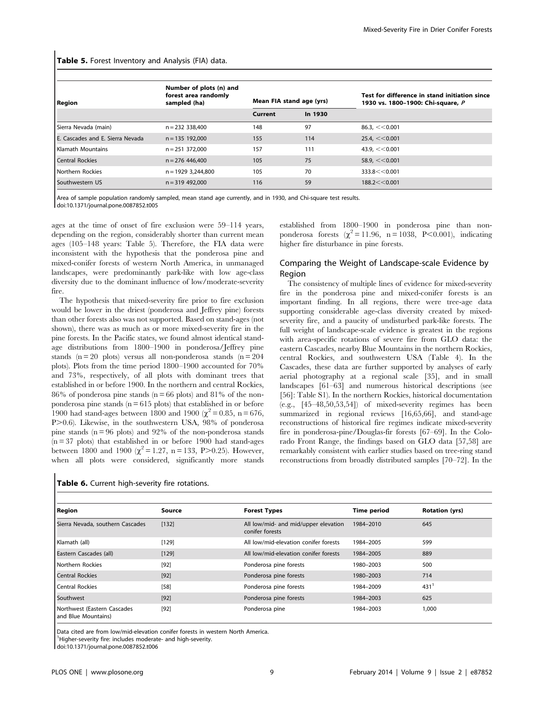#### Table 5. Forest Inventory and Analysis (FIA) data.

| Number of plots (n) and<br>forest area randomly<br>sampled (ha)<br>  Region |                      |         | Mean FIA stand age (yrs) | Test for difference in stand initiation since<br>1930 vs. 1800-1900: Chi-square, P |  |  |
|-----------------------------------------------------------------------------|----------------------|---------|--------------------------|------------------------------------------------------------------------------------|--|--|
|                                                                             |                      | Current | In 1930                  |                                                                                    |  |  |
| Sierra Nevada (main)                                                        | $n = 232$ 338.400    | 148     | 97                       | $86.3, \leq 0.001$                                                                 |  |  |
| E. Cascades and E. Sierra Nevada                                            | $n = 135$ 192,000    | 155     | 114                      | $25.4 \leq 0.001$                                                                  |  |  |
| Klamath Mountains                                                           | $n = 251$ 372,000    | 157     | 111                      | 43.9, $<< 0.001$                                                                   |  |  |
| <b>Central Rockies</b>                                                      | $n = 276$ 446.400    | 105     | 75                       | 58.9, $<< 0.001$                                                                   |  |  |
| Northern Rockies                                                            | $n = 1929$ 3.244.800 | 105     | 70                       | 333.8 < 0.001                                                                      |  |  |
| Southwestern US                                                             | $n = 319$ 492,000    | 116     | 59                       | 188.2 < 0.001                                                                      |  |  |

Area of sample population randomly sampled, mean stand age currently, and in 1930, and Chi-square test results. doi:10.1371/journal.pone.0087852.t005

ages at the time of onset of fire exclusion were 59–114 years, depending on the region, considerably shorter than current mean ages (105–148 years: Table 5). Therefore, the FIA data were inconsistent with the hypothesis that the ponderosa pine and mixed-conifer forests of western North America, in unmanaged landscapes, were predominantly park-like with low age-class diversity due to the dominant influence of low/moderate-severity fire.

The hypothesis that mixed-severity fire prior to fire exclusion would be lower in the driest (ponderosa and Jeffrey pine) forests than other forests also was not supported. Based on stand-ages (not shown), there was as much as or more mixed-severity fire in the pine forests. In the Pacific states, we found almost identical standage distributions from 1800–1900 in ponderosa/Jeffrey pine stands ( $n = 20$  plots) versus all non-ponderosa stands ( $n = 204$ plots). Plots from the time period 1800–1900 accounted for 70% and 73%, respectively, of all plots with dominant trees that established in or before 1900. In the northern and central Rockies, 86% of ponderosa pine stands ( $n = 66$  plots) and 81% of the nonponderosa pine stands ( $n = 615$  plots) that established in or before 1900 had stand-ages between 1800 and 1900 ( $\chi^2 = 0.85$ , n = 676, P>0.6). Likewise, in the southwestern USA, 98% of ponderosa pine stands ( $n = 96$  plots) and 92% of the non-ponderosa stands  $(n = 37$  plots) that established in or before 1900 had stand-ages between 1800 and 1900 ( $\chi^2$  = 1.27, n = 133, P>0.25). However, when all plots were considered, significantly more stands

| Table 6. Current high-severity fire rotations. |  |  |  |
|------------------------------------------------|--|--|--|
|------------------------------------------------|--|--|--|

established from 1800–1900 in ponderosa pine than nonponderosa forests  $(\chi^2 = 11.96, n = 1038, P < 0.001)$ , indicating higher fire disturbance in pine forests.

## Comparing the Weight of Landscape-scale Evidence by Region

The consistency of multiple lines of evidence for mixed-severity fire in the ponderosa pine and mixed-conifer forests is an important finding. In all regions, there were tree-age data supporting considerable age-class diversity created by mixedseverity fire, and a paucity of undisturbed park-like forests. The full weight of landscape-scale evidence is greatest in the regions with area-specific rotations of severe fire from GLO data: the eastern Cascades, nearby Blue Mountains in the northern Rockies, central Rockies, and southwestern USA (Table 4). In the Cascades, these data are further supported by analyses of early aerial photography at a regional scale [35], and in small landscapes [61–63] and numerous historical descriptions (see [56]: Table S1). In the northern Rockies, historical documentation (e.g., [45–48,50,53,54]) of mixed-severity regimes has been summarized in regional reviews [16,65,66], and stand-age reconstructions of historical fire regimes indicate mixed-severity fire in ponderosa-pine/Douglas-fir forests [67–69]. In the Colorado Front Range, the findings based on GLO data [57,58] are remarkably consistent with earlier studies based on tree-ring stand reconstructions from broadly distributed samples [70–72]. In the

| <b>Region</b>                                      | Source | <b>Forest Types</b>                                     | <b>Time period</b> | <b>Rotation (yrs)</b> |
|----------------------------------------------------|--------|---------------------------------------------------------|--------------------|-----------------------|
| Sierra Nevada, southern Cascades                   | [132]  | All low/mid- and mid/upper elevation<br>conifer forests | 1984-2010          | 645                   |
| Klamath (all)                                      | [129]  | All low/mid-elevation conifer forests                   | 1984-2005          | 599                   |
| Eastern Cascades (all)                             | [129]  | All low/mid-elevation conifer forests                   | 1984-2005          | 889                   |
| Northern Rockies                                   | $[92]$ | Ponderosa pine forests                                  | 1980-2003          | 500                   |
| <b>Central Rockies</b>                             | $[92]$ | Ponderosa pine forests                                  | 1980-2003          | 714                   |
| <b>Central Rockies</b>                             | $[58]$ | Ponderosa pine forests                                  | 1984-2009          | 431 <sup>1</sup>      |
| Southwest                                          | $[92]$ | Ponderosa pine forests                                  | 1984-2003          | 625                   |
| Northwest (Eastern Cascades<br>and Blue Mountains) | $[92]$ | Ponderosa pine                                          | 1984-2003          | 1,000                 |

Data cited are from low/mid-elevation conifer forests in western North America. <sup>1</sup>Higher-severity fire: includes moderate- and high-severity. doi:10.1371/journal.pone.0087852.t006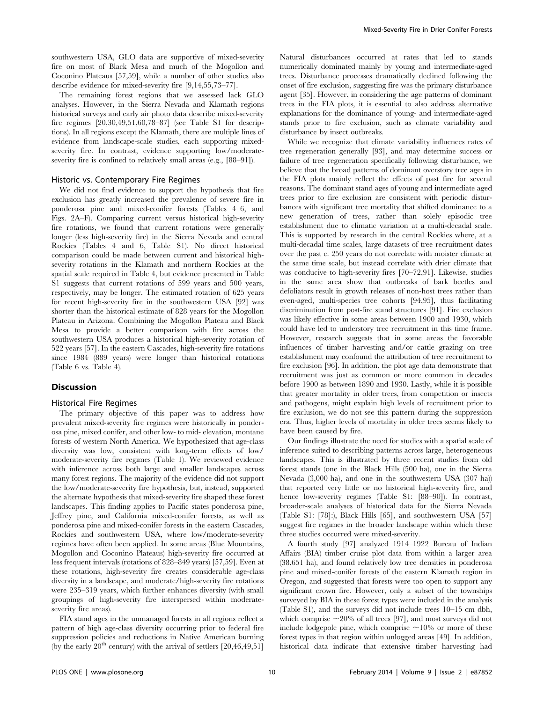southwestern USA, GLO data are supportive of mixed-severity fire on most of Black Mesa and much of the Mogollon and Coconino Plateaus [57,59], while a number of other studies also describe evidence for mixed-severity fire [9,14,55,73–77].

The remaining forest regions that we assessed lack GLO analyses. However, in the Sierra Nevada and Klamath regions historical surveys and early air photo data describe mixed-severity fire regimes [20,30,49,51,60,78–87] (see Table S1 for descriptions). In all regions except the Klamath, there are multiple lines of evidence from landscape-scale studies, each supporting mixedseverity fire. In contrast, evidence supporting low/moderateseverity fire is confined to relatively small areas (e.g., [88–91]).

## Historic vs. Contemporary Fire Regimes

We did not find evidence to support the hypothesis that fire exclusion has greatly increased the prevalence of severe fire in ponderosa pine and mixed-conifer forests (Tables 4–6, and Figs. 2A–F). Comparing current versus historical high-severity fire rotations, we found that current rotations were generally longer (less high-severity fire) in the Sierra Nevada and central Rockies (Tables 4 and 6, Table S1). No direct historical comparison could be made between current and historical highseverity rotations in the Klamath and northern Rockies at the spatial scale required in Table 4, but evidence presented in Table S1 suggests that current rotations of 599 years and 500 years, respectively, may be longer. The estimated rotation of 625 years for recent high-severity fire in the southwestern USA [92] was shorter than the historical estimate of 828 years for the Mogollon Plateau in Arizona. Combining the Mogollon Plateau and Black Mesa to provide a better comparison with fire across the southwestern USA produces a historical high-severity rotation of 522 years [57]. In the eastern Cascades, high-severity fire rotations since 1984 (889 years) were longer than historical rotations (Table 6 vs. Table 4).

## Discussion

#### Historical Fire Regimes

The primary objective of this paper was to address how prevalent mixed-severity fire regimes were historically in ponderosa pine, mixed conifer, and other low- to mid- elevation, montane forests of western North America. We hypothesized that age-class diversity was low, consistent with long-term effects of low/ moderate-severity fire regimes (Table 1). We reviewed evidence with inference across both large and smaller landscapes across many forest regions. The majority of the evidence did not support the low/moderate-severity fire hypothesis, but, instead, supported the alternate hypothesis that mixed-severity fire shaped these forest landscapes. This finding applies to Pacific states ponderosa pine, Jeffrey pine, and California mixed-conifer forests, as well as ponderosa pine and mixed-conifer forests in the eastern Cascades, Rockies and southwestern USA, where low/moderate-severity regimes have often been applied. In some areas (Blue Mountains, Mogollon and Coconino Plateaus) high-severity fire occurred at less frequent intervals (rotations of 828–849 years) [57,59]. Even at these rotations, high-severity fire creates considerable age-class diversity in a landscape, and moderate/high-severity fire rotations were 235–319 years, which further enhances diversity (with small groupings of high-severity fire interspersed within moderateseverity fire areas).

FIA stand ages in the unmanaged forests in all regions reflect a pattern of high age-class diversity occurring prior to federal fire suppression policies and reductions in Native American burning (by the early  $20^{th}$  century) with the arrival of settlers [20,46,49,51]

Natural disturbances occurred at rates that led to stands numerically dominated mainly by young and intermediate-aged trees. Disturbance processes dramatically declined following the onset of fire exclusion, suggesting fire was the primary disturbance agent [35]. However, in considering the age patterns of dominant trees in the FIA plots, it is essential to also address alternative explanations for the dominance of young- and intermediate-aged stands prior to fire exclusion, such as climate variability and disturbance by insect outbreaks.

While we recognize that climate variability influences rates of tree regeneration generally [93], and may determine success or failure of tree regeneration specifically following disturbance, we believe that the broad patterns of dominant overstory tree ages in the FIA plots mainly reflect the effects of past fire for several reasons. The dominant stand ages of young and intermediate aged trees prior to fire exclusion are consistent with periodic disturbances with significant tree mortality that shifted dominance to a new generation of trees, rather than solely episodic tree establishment due to climatic variation at a multi-decadal scale. This is supported by research in the central Rockies where, at a multi-decadal time scales, large datasets of tree recruitment dates over the past c. 250 years do not correlate with moister climate at the same time scale, but instead correlate with drier climate that was conducive to high-severity fires [70–72,91]. Likewise, studies in the same area show that outbreaks of bark beetles and defoliators result in growth releases of non-host trees rather than even-aged, multi-species tree cohorts [94,95], thus facilitating discrimination from post-fire stand structures [91]. Fire exclusion was likely effective in some areas between 1900 and 1930, which could have led to understory tree recruitment in this time frame. However, research suggests that in some areas the favorable influences of timber harvesting and/or cattle grazing on tree establishment may confound the attribution of tree recruitment to fire exclusion [96]. In addition, the plot age data demonstrate that recruitment was just as common or more common in decades before 1900 as between 1890 and 1930. Lastly, while it is possible that greater mortality in older trees, from competition or insects and pathogens, might explain high levels of recruitment prior to fire exclusion, we do not see this pattern during the suppression era. Thus, higher levels of mortality in older trees seems likely to have been caused by fire.

Our findings illustrate the need for studies with a spatial scale of inference suited to describing patterns across large, heterogeneous landscapes. This is illustrated by three recent studies from old forest stands (one in the Black Hills (500 ha), one in the Sierra Nevada (3,000 ha), and one in the southwestern USA (307 ha)) that reported very little or no historical high-severity fire, and hence low-severity regimes (Table S1: [88–90]). In contrast, broader-scale analyses of historical data for the Sierra Nevada (Table S1: [78]:), Black Hills [65], and southwestern USA [57] suggest fire regimes in the broader landscape within which these three studies occurred were mixed-severity.

A fourth study [97] analyzed 1914–1922 Bureau of Indian Affairs (BIA) timber cruise plot data from within a larger area (38,651 ha), and found relatively low tree densities in ponderosa pine and mixed-conifer forests of the eastern Klamath region in Oregon, and suggested that forests were too open to support any significant crown fire. However, only a subset of the townships surveyed by BIA in these forest types were included in the analysis (Table S1), and the surveys did not include trees 10–15 cm dbh, which comprise  $\sim$ 20% of all trees [97], and most surveys did not include lodgepole pine, which comprise  $\sim 10\%$  or more of these forest types in that region within unlogged areas [49]. In addition, historical data indicate that extensive timber harvesting had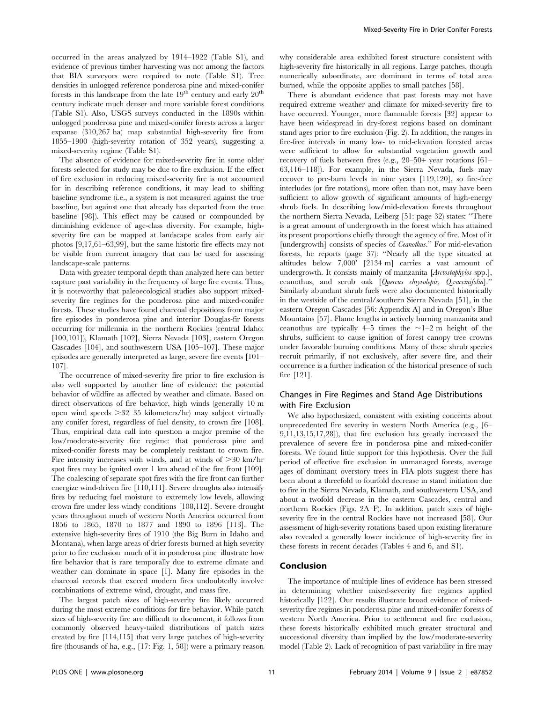occurred in the areas analyzed by 1914–1922 (Table S1), and evidence of previous timber harvesting was not among the factors that BIA surveyors were required to note (Table S1). Tree densities in unlogged reference ponderosa pine and mixed-conifer forests in this landscape from the late  $19<sup>th</sup>$  century and early  $20<sup>th</sup>$ century indicate much denser and more variable forest conditions (Table S1). Also, USGS surveys conducted in the 1890s within unlogged ponderosa pine and mixed-conifer forests across a larger expanse (310,267 ha) map substantial high-severity fire from 1855–1900 (high-severity rotation of 352 years), suggesting a mixed-severity regime (Table S1).

The absence of evidence for mixed-severity fire in some older forests selected for study may be due to fire exclusion. If the effect of fire exclusion in reducing mixed-severity fire is not accounted for in describing reference conditions, it may lead to shifting baseline syndrome (i.e., a system is not measured against the true baseline, but against one that already has departed from the true baseline [98]). This effect may be caused or compounded by diminishing evidence of age-class diversity. For example, highseverity fire can be mapped at landscape scales from early air photos [9,17,61–63,99], but the same historic fire effects may not be visible from current imagery that can be used for assessing landscape-scale patterns.

Data with greater temporal depth than analyzed here can better capture past variability in the frequency of large fire events. Thus, it is noteworthy that paleoecological studies also support mixedseverity fire regimes for the ponderosa pine and mixed-conifer forests. These studies have found charcoal depositions from major fire episodes in ponderosa pine and interior Douglas-fir forests occurring for millennia in the northern Rockies (central Idaho: [100,101]), Klamath [102], Sierra Nevada [103], eastern Oregon Cascades [104], and southwestern USA [105–107]. These major episodes are generally interpreted as large, severe fire events [101– 107].

The occurrence of mixed-severity fire prior to fire exclusion is also well supported by another line of evidence: the potential behavior of wildfire as affected by weather and climate. Based on direct observations of fire behavior, high winds (generally 10 m open wind speeds  $>32-35$  kilometers/hr) may subject virtually any conifer forest, regardless of fuel density, to crown fire [108]. Thus, empirical data call into question a major premise of the low/moderate-severity fire regime: that ponderosa pine and mixed-conifer forests may be completely resistant to crown fire. Fire intensity increases with winds, and at winds of  $>30$  km/hr spot fires may be ignited over 1 km ahead of the fire front [109]. The coalescing of separate spot fires with the fire front can further energize wind-driven fire [110,111]. Severe droughts also intensify fires by reducing fuel moisture to extremely low levels, allowing crown fire under less windy conditions [108,112]. Severe drought years throughout much of western North America occurred from 1856 to 1865, 1870 to 1877 and 1890 to 1896 [113]. The extensive high-severity fires of 1910 (the Big Burn in Idaho and Montana), when large areas of drier forests burned at high severity prior to fire exclusion–much of it in ponderosa pine–illustrate how fire behavior that is rare temporally due to extreme climate and weather can dominate in space [1]. Many fire episodes in the charcoal records that exceed modern fires undoubtedly involve combinations of extreme wind, drought, and mass fire.

The largest patch sizes of high-severity fire likely occurred during the most extreme conditions for fire behavior. While patch sizes of high-severity fire are difficult to document, it follows from commonly observed heavy-tailed distributions of patch sizes created by fire [114,115] that very large patches of high-severity fire (thousands of ha, e.g., [17: Fig. 1, 58]) were a primary reason why considerable area exhibited forest structure consistent with high-severity fire historically in all regions. Large patches, though numerically subordinate, are dominant in terms of total area burned, while the opposite applies to small patches [58].

There is abundant evidence that past forests may not have required extreme weather and climate for mixed-severity fire to have occurred. Younger, more flammable forests [32] appear to have been widespread in dry-forest regions based on dominant stand ages prior to fire exclusion (Fig. 2). In addition, the ranges in fire-free intervals in many low- to mid-elevation forested areas were sufficient to allow for substantial vegetation growth and recovery of fuels between fires (e.g., 20–50+ year rotations [61– 63,116–118]). For example, in the Sierra Nevada, fuels may recover to pre-burn levels in nine years [119,120], so fire-free interludes (or fire rotations), more often than not, may have been sufficient to allow growth of significant amounts of high-energy shrub fuels. In describing low/mid-elevation forests throughout the northern Sierra Nevada, Leiberg [51: page 32) states: ''There is a great amount of undergrowth in the forest which has attained its present proportions chiefly through the agency of fire. Most of it [undergrowth] consists of species of *Ceanothus*." For mid-elevation forests, he reports (page 37): ''Nearly all the type situated at altitudes below 7,000' [2134 m] carries a vast amount of undergrowth. It consists mainly of manzanita [*Arctostaphylos* spp.], ceanothus, and scrub oak [Quercus chrysolepis, Q.vaccinifolia].'' Similarly abundant shrub fuels were also documented historically in the westside of the central/southern Sierra Nevada [51], in the eastern Oregon Cascades [56: Appendix A] and in Oregon's Blue Mountains [57]. Flame lengths in actively burning manzanita and ceanothus are typically 4–5 times the  $\sim$  1–2 m height of the shrubs, sufficient to cause ignition of forest canopy tree crowns under favorable burning conditions. Many of these shrub species recruit primarily, if not exclusively, after severe fire, and their occurrence is a further indication of the historical presence of such fire [121].

# Changes in Fire Regimes and Stand Age Distributions with Fire Exclusion

We also hypothesized, consistent with existing concerns about unprecedented fire severity in western North America (e.g., [6– 9,11,13,15,17,28]), that fire exclusion has greatly increased the prevalence of severe fire in ponderosa pine and mixed-conifer forests. We found little support for this hypothesis. Over the full period of effective fire exclusion in unmanaged forests, average ages of dominant overstory trees in FIA plots suggest there has been about a threefold to fourfold decrease in stand initiation due to fire in the Sierra Nevada, Klamath, and southwestern USA, and about a twofold decrease in the eastern Cascades, central and northern Rockies (Figs. 2A–F). In addition, patch sizes of highseverity fire in the central Rockies have not increased [58]. Our assessment of high-severity rotations based upon existing literature also revealed a generally lower incidence of high-severity fire in these forests in recent decades (Tables 4 and 6, and S1).

## Conclusion

The importance of multiple lines of evidence has been stressed in determining whether mixed-severity fire regimes applied historically [122]. Our results illustrate broad evidence of mixedseverity fire regimes in ponderosa pine and mixed-conifer forests of western North America. Prior to settlement and fire exclusion, these forests historically exhibited much greater structural and successional diversity than implied by the low/moderate-severity model (Table 2). Lack of recognition of past variability in fire may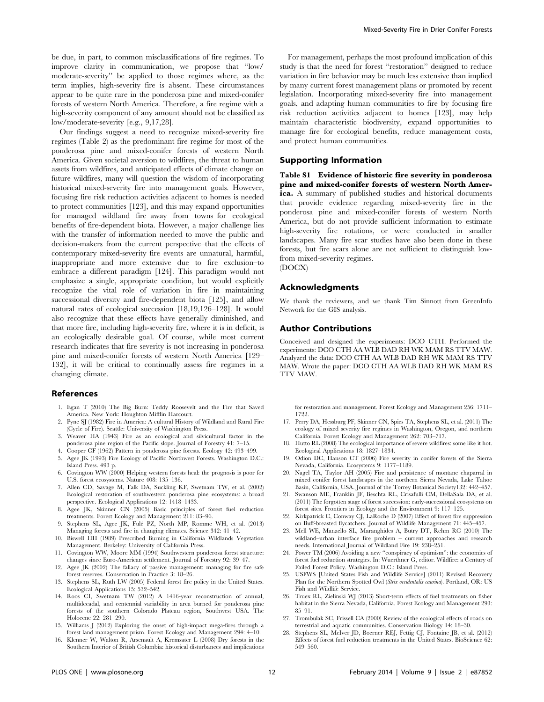be due, in part, to common misclassifications of fire regimes. To improve clarity in communication, we propose that ''low/ moderate-severity'' be applied to those regimes where, as the term implies, high-severity fire is absent. These circumstances appear to be quite rare in the ponderosa pine and mixed-conifer forests of western North America. Therefore, a fire regime with a high-severity component of any amount should not be classified as low/moderate-severity [e.g., 9,17,28].

Our findings suggest a need to recognize mixed-severity fire regimes (Table 2) as the predominant fire regime for most of the ponderosa pine and mixed-conifer forests of western North America. Given societal aversion to wildfires, the threat to human assets from wildfires, and anticipated effects of climate change on future wildfires, many will question the wisdom of incorporating historical mixed-severity fire into management goals. However, focusing fire risk reduction activities adjacent to homes is needed to protect communities [123], and this may expand opportunities for managed wildland fire–away from towns–for ecological benefits of fire-dependent biota. However, a major challenge lies with the transfer of information needed to move the public and decision-makers from the current perspective–that the effects of contemporary mixed-severity fire events are unnatural, harmful, inappropriate and more extensive due to fire exclusion–to embrace a different paradigm [124]. This paradigm would not emphasize a single, appropriate condition, but would explicitly recognize the vital role of variation in fire in maintaining successional diversity and fire-dependent biota [125], and allow natural rates of ecological succession [18,19,126–128]. It would also recognize that these effects have generally diminished, and that more fire, including high-severity fire, where it is in deficit, is an ecologically desirable goal. Of course, while most current research indicates that fire severity is not increasing in ponderosa pine and mixed-conifer forests of western North America [129– 132], it will be critical to continually assess fire regimes in a changing climate.

## References

- 1. Egan T (2010) The Big Burn: Teddy Roosevelt and the Fire that Saved America. New York: Houghton Mifflin Harcourt.
- 2. Pyne SJ (1982) Fire in America: A cultural History of Wildland and Rural Fire (Cycle of Fire). Seattle: University of Washington Press.
- 3. Weaver HA (1943) Fire as an ecological and silvicultural factor in the ponderosa pine region of the Pacific slope. Journal of Forestry 41: 7–15.
- 4. Cooper CF (1962) Pattern in ponderosa pine forests. Ecology 42: 493–499. 5. Agee JK (1993) Fire Ecology of Pacific Northwest Forests. Washington D.C.: Island Press. 493 p.
- 6. Covington WW (2000) Helping western forests heal: the prognosis is poor for U.S. forest ecosystems. Nature 408: 135–136.
- 7. Allen CD, Savage M, Falk DA, Suckling KF, Swetnam TW, et al. (2002) Ecological restoration of southwestern ponderosa pine ecosystems: a broad perspective. Ecological Applications 12: 1418–1433.
- 8. Agee JK, Skinner CN (2005) Basic principles of forest fuel reduction treatments. Forest Ecology and Management 211: 83–96.
- 9. Stephens SL, Agee JK, Fule´ PZ, North MP, Romme WH, et al. (2013) Managing forests and fire in changing climates. Science 342: 41–42.
- 10. Biswell HH (1989) Prescribed Burning in California Wildlands Vegetation Management. Berkeley: University of California Press.
- 11. Covington WW, Moore MM (1994) Southwestern ponderosa forest structure: changes since Euro-American settlement. Journal of Forestry 92: 39–47.
- 12. Agee JK (2002) The fallacy of passive management: managing for fire safe forest reserves. Conservation in Practice 3: 18–26.
- 13. Stephens SL, Ruth LW (2005) Federal forest fire policy in the United States. Ecological Applications 15: 532–542.
- 14. Roos CI, Swetnam TW (2012) A 1416-year reconstruction of annual, multidecadal, and centennial variability in area burned for ponderosa pine forests of the southern Colorado Plateau region, Southwest USA. The Holocene 22: 281–290.
- 15. Williams J (2012) Exploring the onset of high-impact mega-fires through a forest land management prism. Forest Ecology and Management 294: 4–10.
- 16. Klenner W, Walton R, Arsenault A, Kremsater L (2008) Dry forests in the Southern Interior of British Columbia: historical disturbances and implications

For management, perhaps the most profound implication of this study is that the need for forest ''restoration'' designed to reduce variation in fire behavior may be much less extensive than implied by many current forest management plans or promoted by recent legislation. Incorporating mixed-severity fire into management goals, and adapting human communities to fire by focusing fire risk reduction activities adjacent to homes [123], may help maintain characteristic biodiversity, expand opportunities to manage fire for ecological benefits, reduce management costs, and protect human communities.

## Supporting Information

Table S1 Evidence of historic fire severity in ponderosa pine and mixed-conifer forests of western North America. A summary of published studies and historical documents that provide evidence regarding mixed-severity fire in the ponderosa pine and mixed-conifer forests of western North America, but do not provide sufficient information to estimate high-severity fire rotations, or were conducted in smaller landscapes. Many fire scar studies have also been done in these forests, but fire scars alone are not sufficient to distinguish lowfrom mixed-severity regimes.

(DOCX)

## Acknowledgments

We thank the reviewers, and we thank Tim Sinnott from GreenInfo Network for the GIS analysis.

#### Author Contributions

Conceived and designed the experiments: DCO CTH. Performed the experiments: DCO CTH AA WLB DAD RH WK MAM RS TTV MAW. Analyzed the data: DCO CTH AA WLB DAD RH WK MAM RS TTV MAW. Wrote the paper: DCO CTH AA WLB DAD RH WK MAM RS TTV MAW.

for restoration and management. Forest Ecology and Management 256: 1711– 1722.

- 17. Perry DA, Hessburg PF, Skinner CN, Spies TA, Stephens SL, et al. (2011) The ecology of mixed severity fire regimes in Washington, Oregon, and northern California. Forest Ecology and Management 262: 703–717.
- 18. Hutto RL (2008) The ecological importance of severe wildfires: some like it hot. Ecological Applications 18: 1827–1834.
- 19. Odion DC, Hanson CT (2006) Fire severity in conifer forests of the Sierra Nevada, California. Ecosystems 9: 1177–1189.
- 20. Nagel TA, Taylor AH (2005) Fire and persistence of montane chaparral in mixed conifer forest landscapes in the northern Sierra Nevada, Lake Tahoe Basin, California, USA. Journal of the Torrey Botanical Society132: 442–457.
- 21. Swanson ME, Franklin JF, Beschta RL, Crisafulli CM, DellaSala DA, et al. (2011) The forgotten stage of forest succession: early-successional ecosystems on forest sites. Frontiers in Ecology and the Environment 9: 117–125.
- 22. Kirkpatrick C, Conway CJ, LaRoche D (2007) Effect of forest fire suppression on Buff-breasted flycatchers. Journal of Wildlife Management 71: 445–457.
- 23. Mell WE, Manzello SL, Maranghides A, Butry DT, Rehm RG (2010) The wildland–urban interface fire problem – current approaches and research needs. International Journal of Wildland Fire 19: 238–251.
- 24. Power TM (2006) Avoiding a new ''conspiracy of optimism'': the economics of forest fuel reduction strategies. In: Wuerthner G, editor. Wildfire: a Century of Failed Forest Policy. Washington D.C.: Island Press.
- 25. USFWS [United States Fish and Wildlife Service] (2011) Revised Recovery Plan for the Northern Spotted Owl (Strix occidentalis caurina). Portland, OR: US Fish and Wildlife Service.
- 26. Truex RL, Zielinski WJ (2013) Short-term effects of fuel treatments on fisher habitat in the Sierra Nevada, California. Forest Ecology and Management 293: 85–91.
- 27. Trombulak SC, Frissell CA (2000) Review of the ecological effects of roads on terrestrial and aquatic communities. Conservation Biology 14: 18–30.
- 28. Stephens SL, McIver JD, Boerner REJ, Fettig CJ, Fontaine JB, et al. (2012) Effects of forest fuel reduction treatments in the United States. BioScience 62: 549–560.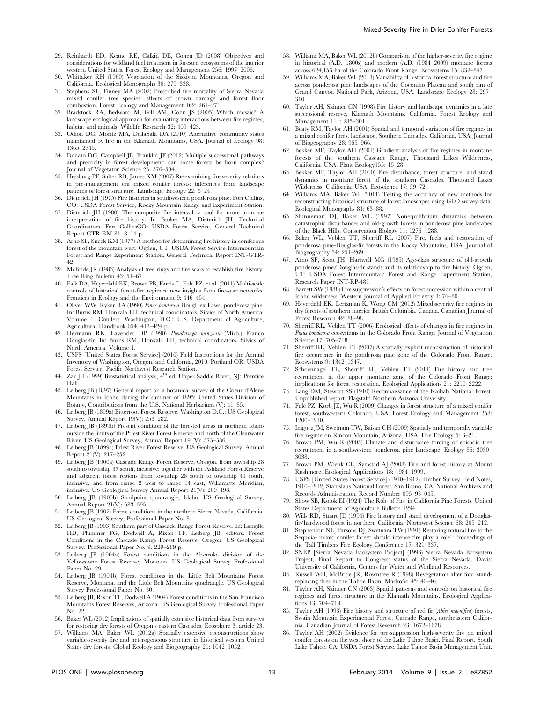- 29. Reinhardt ED, Keane RE, Calkin DE, Cohen JD (2008) Objectives and considerations for wildland fuel treatment in forested ecosystems of the interior western United States. Forest Ecology and Management 256: 1997–2006.
- 30. Whittaker RH (1960) Vegetation of the Siskiyou Mountains, Oregon and California. Ecological Monographs 30: 279–338.
- 31. Stephens SL, Finney MA (2002) Prescribed fire mortality of Sierra Nevada mixed conifer tree species: effects of crown damage and forest floor combustion. Forest Ecology and Management 162: 261–271.
- 32. Bradstock RA, Bedward M, Gill AM, Cohn JS (2005) Which mosaic? A landscape ecological approach for evaluating interactions between fire regimes, habitat and animals. Wildlife Research 32: 409–423.
- 33. Odion DC, Moritz MA, DellaSala DA (2010) Alternative community states maintained by fire in the Klamath Mountains, USA. Journal of Ecology 98: 1365–2745.
- 34. Donato DC, Campbell JL, Franklin JF (2012) Multiple successional pathways and precocity in forest development: can some forests be born complex? Journal of Vegetaton Science 23: 576–584.
- 35. Hessburg PF, Salter RB, James KM (2007) Re-examining fire severity relations in pre-management era mixed conifer forests: inferences from landscape patterns of forest structure. Landscape Ecology 22: 5–24.
- 36. Dieterich JH (1975) Fire histories in southwestern ponderosa pine. Fort Collins, CO: USDA Forest Service, Rocky Mountain Range and Experiment Station.
- 37. Dieterich JH (1980) The composite fire interval: a tool for more accurate interpretation of fire history. In: Stokes MA, Dieterich JH, Technical Coordinators. Fort CollinsCO: USDA Forest Service, General Technical Report GTR-RM-81. 8–14 p.
- 38. Arno SF, Sneck KM (1977) A method for determining fire history in coniferous forest of the mountain west. Ogden, UT: USDA Forest Service Intermountain Forest and Range Experiment Station, General Technical Report INT-GTR-42.
- 39. McBride JR (1983) Analysis of tree rings and fire scars to establish fire history. Tree Ring Bulletin 43: 51–67.
- 40. Falk DA, Heyerdahl EK, Brown PB, Farris C, Fulé PZ, et al. (2011) Multi-scale controls of historical forest-fire regimes: new insights from fire-scar networks. Frontiers in Ecology and the Environment 9: 446–454.
- 41. Oliver WW, Ryker RA (1990) Pinus ponderosa Dougl. ex Laws. ponderosa pine. In: Burns RM, Honkala BH, technical coordinators. Silvics of North America. Volume 1. Conifers. Washington, D.C.: U.S. Department of Agriculture, Agricultural Handbook 654. 413–424 p.
- 42. Hermann RK, Lavender DP (1990) Pseudotsuga menziesii (Mirb.) Franco Douglas-fir. In: Burns RM, Honkala BH, technical coordinators. Silvics of North America. Volume 1.
- 43. USFS [United States Forest Service] (2010) Field Instructions for the Annual Inventory of Washington, Oregon, and California, 2010. Portland OR: USDA Forest Service, Pacific Northwest Research Station.
- 44. Zar JH (1999) Biostatistical analysis, 4<sup>th</sup> ed. Upper Saddle River, NJ: Prentice Hall.
- 45. Leiberg JB (1897) General report on a botanical survey of the Coeur d'Alene Mountains in Idaho during the summer of 1895: United States Division of Botany, Contributions from the U.S. National Herbarium (V): 41–85.
- 46. Leiberg JB (1899a) Bitterroot Forest Reserve. Washington D.C.: US Geological Survey, Annual Report 19(V): 253–282.
- 47. Leiberg JB (1899b) Present condition of the forested areas in northern Idaho outside the limits of the Priest River Forest Reserve and north of the Clearwater River. US Geological Survey, Annual Report 19 (V): 373–386.
- 48. Leiberg JB (1899c) Priest River Forest Reserve. US Geological Survey, Annual Report 21(V): 217-252.
- 49. Leiberg JB (1900a) Cascade Range Forest Reserve, Oregon, from township 28 south to township 37 south, inclusive; together with the Ashland Forest Reserve and adjacent forest regions from township 28 south to township 41 south, inclusive, and from range 2 west to range 14 east, Willamette Meridian, inclusive. US Geological Survey Annual Report 21(V): 209–498.
- 50. Leiberg JB (1900b) Sandpoint quadrangle, Idaho. US Geological Survey, Annual Report 21(V): 583–595.
- 51. Leiberg JB (1902) Forest conditions in the northern Sierra Nevada, California. US Geological Survey, Professional Paper No. 8.
- 52. Leiberg JB (1903) Southern part of Cascade Range Forest Reserve. In: Langille HD, Plummer FG, Dodwell A, Rixon TF, Leiberg JB, editors. Forest Conditions in the Cascade Range Forest Reserve, Oregon. US Geological Survey, Professional Paper No. 9. 229–289 p.
- 53. Leiberg JB (1904a) Forest conditions in the Absaroka division of the Yellowstone Forest Reserve, Montana. US Geological Survey Professional Paper No. 29.
- 54. Leiberg JB (1904b) Forest conditions in the Little Belt Mountains Forest Reserve, Montana, and the Little Belt Mountains quadrangle. US Geological Survey Professional Paper No. 30.
- 55. Leiberg JB, Rixon TF, Dodwell A (1904) Forest conditions in the San Francisco Mountains Forest Reserves, Arizona. US Geological Survey Professional Paper No. 22.
- 56. Baker WL (2012) Implications of spatially extensive historical data from surveys for restoring dry forests of Oregon's eastern Cascades. Ecosphere 3: article 23.
- 57. Williams MA, Baker WL (2012a) Spatially extensive reconstructions show variable-severity fire and heterogeneous structure in historical western United States dry forests. Global Ecology and Biogeography 21: 1042–1052.
- 58. Williams MA, Baker WL (2012b) Comparison of the higher-severity fire regime in historical (A.D. 1800s) and modern (A.D. (1984–2009) montane forests across 624,156 ha of the Colorado Front Range. Ecosystems 15: 832–847.
- 59. Williams MA, Baker WL (2013) Variability of historical forest structure and fire across ponderosa pine landscapes of the Coconino Plateau and south rim of Grand Canyon National Park, Arizona, USA. Landscape Ecology 28: 297– 310.
- 60. Taylor AH, Skinner CN (1998) Fire history and landscape dynamics in a late successional reserve, Klamath Mountains, California. Forest Ecology and Management 111: 285–301.
- 61. Beaty RM, Taylor AH (2001) Spatial and temporal variation of fire regimes in a mixed conifer forest landscape, Southern Cascades, California, USA. Journal of Biogeography 28: 955–966.
- 62. Bekker MF, Taylor AH (2001) Gradient analysis of fire regimes in montane forests of the southern Cascade Range, Thousand Lakes Wilderness, California, USA. Plant Ecology155: 15–28.
- 63. Bekker MF, Taylor AH (2010) Fire disturbance, forest structure, and stand dynamics in montane forest of the southern Cascades, Thousand Lakes Wilderness, California, USA. Ecoscience 17: 59–72.
- 64. Williams MA, Baker WL (2011) Testing the accuracy of new methods for reconstructing historical structure of forest landscapes using GLO survey data. Ecological Monographs 81: 63–88.
- 65. Shinneman DJ, Baker WL (1997) Nonequilibrium dynamics between catastrophic disturbances and old-growth forests in ponderosa pine landscapes of the Black Hills. Conservation Biology 11: 1276–1288.
- 66. Baker WL, Veblen TT, Sherriff RL (2007) Fire, fuels and restoration of ponderosa pine-Douglas-fir forests in the Rocky Mountains, USA. Journal of Biogeography 34: 251–269.
- 67. Arno SF, Scott JH, Hartwell MG (1995) Age-class structure of old-growth ponderosa pine/Douglas-fir stands and its relationship to fire history. Ogden, UT: USDA Forest Intermountain Forest and Range Experiment Station, Research Paper INT-RP-481.
- 68. Barrett SW (1988) Fire suppression's effects on forest succession within a central Idaho wilderness. Western Journal of Applied Forestry 3: 76–80.
- Heyerdahl EK, Lertzman K, Wong CM (2012) Mixed-severity fire regimes in dry forests of southern interior British Columbia, Canada. Canadian Journal of Forest Research 42: 88–98.
- 70. Sherriff RL, Veblen TT (2006) Ecological effects of changes in fire regimes in Pinus ponderosa ecosystems in the Colorado Front Range. Journal of Vegetation Science 17: 705–718.
- 71. Sherriff RL, Veblen TT (2007) A spatially explicit reconstruction of historical fire occurrence in the ponderosa pine zone of the Colorado Front Range. Ecosystems 9: 1342–1347.
- 72. Schoennagel TL, Sherriff RL, Veblen TT (2011) Fire history and tree recruitment in the upper montane zone of the Colorado Front Range: implications for forest restoration. Ecological Applications 21: 2210–2222.
- Lang DM, Stewart SS (1910) Reconnaissance of the Kaibab National Forest. Unpublished report. Flagstaff: Northern Arizona University.
- 74. Fulé PZ, Korb JE, Wu R (2009) Changes in forest structure of a mixed conifer forest, southwestern Colorado, USA. Forest Ecology and Management 258: 1200–1210.
- 75. Iniguez JM, Swetnam TW, Baisan CH (2009) Spatially and temporally variable fire regime on Rincon Mountain, Arizona, USA. Fire Ecology 5: 3–21.
- 76. Brown PM, Wu R (2005) Climate and disturbance forcing of episodic tree recruitment in a southwestern ponderosa pine landscape. Ecology 86: 3030– 3038.
- 77. Brown PM, Wienk CL, Symstad AJ (2008) Fire and forest history at Mount Rushmore. Ecological Applications 18: 1984–1999.
- 78. USFS [United States Forest Service] (1910–1912) Timber Survey Field Notes, 1910–1912, Stanislaus National Forest. San Bruno, CA: National Archives and Records Administration, Record Number 095–93–045.
- 79. Show SB, Kotok EI (1924) The Role of Fire in California Pine Forests. United States Department of Agriculture Bulletin 1294.
- 80. Wills RD, Stuart JD (1994) Fire history and stand development of a Douglasfir/hardwood forest in northern California. Northwest Science 68: 205–212.
- 81. Stephenson NL, Parsons DJ, Swetnam TW (1991) Restoring natural fire to the Sequoia- mixed conifer forest: should intense fire play a role? Proceedings of the Tall Timbers Fire Ecology Conference 17: 321–337.
- 82. SNEP [Sierra Nevada Ecosystem Project] (1996) Sierra Nevada Ecosystem Project, Final Report to Congress: status of the Sierra Nevada. Davis: University of California, Centers for Water and Wildland Resources.
- 83. Russell WH, McBride JR, Rowntree R (1998) Revegetation after four standreplacing fires in the Tahoe Basin. Madroño 45: 40-46.
- 84. Taylor AH, Skinner CN (2003) Spatial patterns and controls on historical fire regimes and forest structure in the Klamath Mountains. Ecological Applications 13: 704–719.
- 85. Taylor AH (1993) Fire history and structure of red fir (Abies magnifica) forests, Swain Mountain Experimental Forest, Cascade Range, northeastern California. Canadian Journal of Forest Research 23: 1672–1678.
- 86. Taylor AH (2002) Evidence for pre-suppression high-severity fire on mixed conifer forests on the west shore of the Lake Tahoe Basin. Final Report. South Lake Tahoe, CA: USDA Forest Service, Lake Tahoe Basin Management Unit.